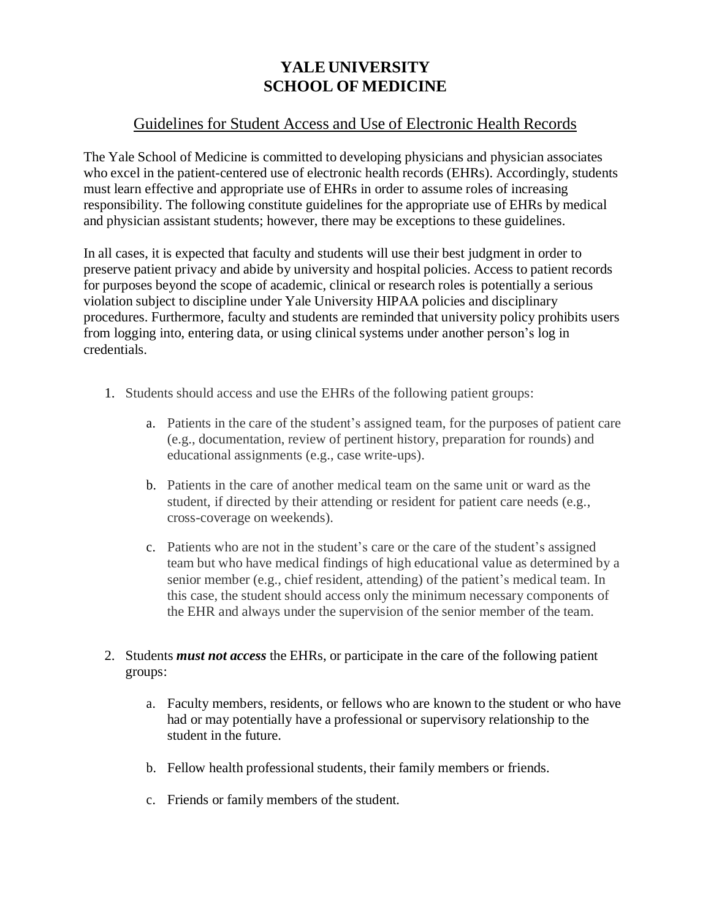## **YALE UNIVERSITY SCHOOL OF MEDICINE**

## Guidelines for Student Access and Use of Electronic Health Records

The Yale School of Medicine is committed to developing physicians and physician associates who excel in the patient-centered use of electronic health records (EHRs). Accordingly, students must learn effective and appropriate use of EHRs in order to assume roles of increasing responsibility. The following constitute guidelines for the appropriate use of EHRs by medical and physician assistant students; however, there may be exceptions to these guidelines.

In all cases, it is expected that faculty and students will use their best judgment in order to preserve patient privacy and abide by university and hospital policies. Access to patient records for purposes beyond the scope of academic, clinical or research roles is potentially a serious violation subject to discipline under Yale University HIPAA policies and disciplinary procedures. Furthermore, faculty and students are reminded that university policy prohibits users from logging into, entering data, or using clinical systems under another person's log in credentials.

- 1. Students should access and use the EHRs of the following patient groups:
	- a. Patients in the care of the student's assigned team, for the purposes of patient care (e.g., documentation, review of pertinent history, preparation for rounds) and educational assignments (e.g., case write-ups).
	- b. Patients in the care of another medical team on the same unit or ward as the student, if directed by their attending or resident for patient care needs (e.g., cross-coverage on weekends).
	- c. Patients who are not in the student's care or the care of the student's assigned team but who have medical findings of high educational value as determined by a senior member (e.g., chief resident, attending) of the patient's medical team. In this case, the student should access only the minimum necessary components of the EHR and always under the supervision of the senior member of the team.
- 2. Students *must not access* the EHRs, or participate in the care of the following patient groups:
	- a. Faculty members, residents, or fellows who are known to the student or who have had or may potentially have a professional or supervisory relationship to the student in the future.
	- b. Fellow health professional students, their family members or friends.
	- c. Friends or family members of the student.